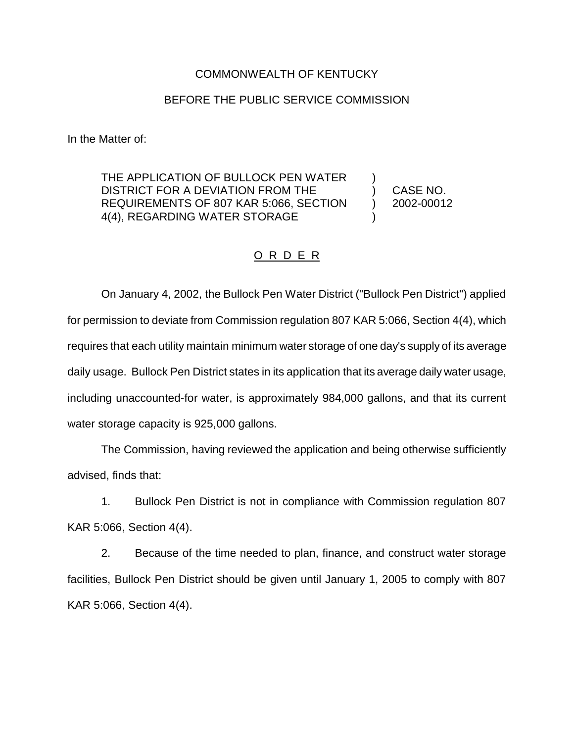## COMMONWEALTH OF KENTUCKY

## BEFORE THE PUBLIC SERVICE COMMISSION

In the Matter of:

THE APPLICATION OF BULLOCK PEN WATER DISTRICT FOR A DEVIATION FROM THE REQUIREMENTS OF 807 KAR 5:066, SECTION 4(4), REGARDING WATER STORAGE

CASE NO. 2002-00012

) ) ) )

## O R D E R

On January 4, 2002, the Bullock Pen Water District ("Bullock Pen District") applied for permission to deviate from Commission regulation 807 KAR 5:066, Section 4(4), which requires that each utility maintain minimum water storage of one day's supply of its average daily usage. Bullock Pen District states in its application that its average daily water usage, including unaccounted-for water, is approximately 984,000 gallons, and that its current water storage capacity is 925,000 gallons.

The Commission, having reviewed the application and being otherwise sufficiently advised, finds that:

1. Bullock Pen District is not in compliance with Commission regulation 807 KAR 5:066, Section 4(4).

2. Because of the time needed to plan, finance, and construct water storage facilities, Bullock Pen District should be given until January 1, 2005 to comply with 807 KAR 5:066, Section 4(4).